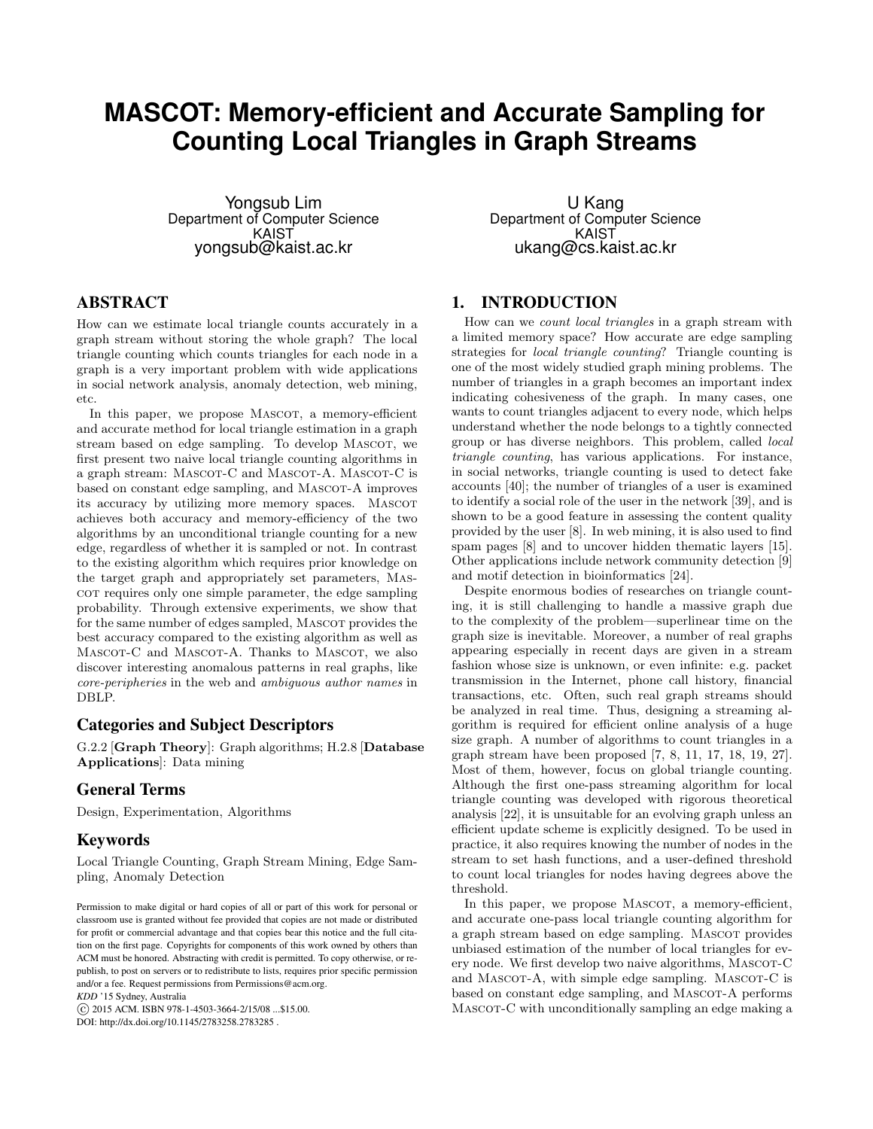# **MASCOT: Memory-efficient and Accurate Sampling for Counting Local Triangles in Graph Streams**

Yongsub Lim Department of Computer Science KAIST yongsub@kaist.ac.kr

# ABSTRACT

How can we estimate local triangle counts accurately in a graph stream without storing the whole graph? The local triangle counting which counts triangles for each node in a graph is a very important problem with wide applications in social network analysis, anomaly detection, web mining, etc.

In this paper, we propose MASCOT, a memory-efficient and accurate method for local triangle estimation in a graph stream based on edge sampling. To develop MASCOT, we first present two naive local triangle counting algorithms in a graph stream: MASCOT-C and MASCOT-A. MASCOT-C is based on constant edge sampling, and MASCOT-A improves its accuracy by utilizing more memory spaces. MASCOT achieves both accuracy and memory-efficiency of the two algorithms by an unconditional triangle counting for a new edge, regardless of whether it is sampled or not. In contrast to the existing algorithm which requires prior knowledge on the target graph and appropriately set parameters, Mascot requires only one simple parameter, the edge sampling probability. Through extensive experiments, we show that for the same number of edges sampled, MASCOT provides the best accuracy compared to the existing algorithm as well as MASCOT-C and MASCOT-A. Thanks to MASCOT, we also discover interesting anomalous patterns in real graphs, like core-peripheries in the web and ambiguous author names in DBLP.

# Categories and Subject Descriptors

G.2.2 [Graph Theory]: Graph algorithms; H.2.8 [Database Applications]: Data mining

# General Terms

Design, Experimentation, Algorithms

## Keywords

Local Triangle Counting, Graph Stream Mining, Edge Sampling, Anomaly Detection

*KDD* '15 Sydney, Australia

c 2015 ACM. ISBN 978-1-4503-3664-2/15/08 ...\$15.00.

DOI: http://dx.doi.org/10.1145/2783258.2783285 .

U Kang Department of Computer Science KAIST ukang@cs.kaist.ac.kr

# 1. INTRODUCTION

How can we count local triangles in a graph stream with a limited memory space? How accurate are edge sampling strategies for *local triangle counting*? Triangle counting is one of the most widely studied graph mining problems. The number of triangles in a graph becomes an important index indicating cohesiveness of the graph. In many cases, one wants to count triangles adjacent to every node, which helps understand whether the node belongs to a tightly connected group or has diverse neighbors. This problem, called local triangle counting, has various applications. For instance, in social networks, triangle counting is used to detect fake accounts [40]; the number of triangles of a user is examined to identify a social role of the user in the network [39], and is shown to be a good feature in assessing the content quality provided by the user [8]. In web mining, it is also used to find spam pages [8] and to uncover hidden thematic layers [15]. Other applications include network community detection [9] and motif detection in bioinformatics [24].

Despite enormous bodies of researches on triangle counting, it is still challenging to handle a massive graph due to the complexity of the problem—superlinear time on the graph size is inevitable. Moreover, a number of real graphs appearing especially in recent days are given in a stream fashion whose size is unknown, or even infinite: e.g. packet transmission in the Internet, phone call history, financial transactions, etc. Often, such real graph streams should be analyzed in real time. Thus, designing a streaming algorithm is required for efficient online analysis of a huge size graph. A number of algorithms to count triangles in a graph stream have been proposed [7, 8, 11, 17, 18, 19, 27]. Most of them, however, focus on global triangle counting. Although the first one-pass streaming algorithm for local triangle counting was developed with rigorous theoretical analysis [22], it is unsuitable for an evolving graph unless an efficient update scheme is explicitly designed. To be used in practice, it also requires knowing the number of nodes in the stream to set hash functions, and a user-defined threshold to count local triangles for nodes having degrees above the threshold.

In this paper, we propose MASCOT, a memory-efficient, and accurate one-pass local triangle counting algorithm for a graph stream based on edge sampling. MASCOT provides unbiased estimation of the number of local triangles for every node. We first develop two naive algorithms, MASCOT-C and MASCOT-A, with simple edge sampling. MASCOT-C is based on constant edge sampling, and MASCOT-A performs MASCOT-C with unconditionally sampling an edge making a

Permission to make digital or hard copies of all or part of this work for personal or classroom use is granted without fee provided that copies are not made or distributed for profit or commercial advantage and that copies bear this notice and the full citation on the first page. Copyrights for components of this work owned by others than ACM must be honored. Abstracting with credit is permitted. To copy otherwise, or republish, to post on servers or to redistribute to lists, requires prior specific permission and/or a fee. Request permissions from Permissions@acm.org.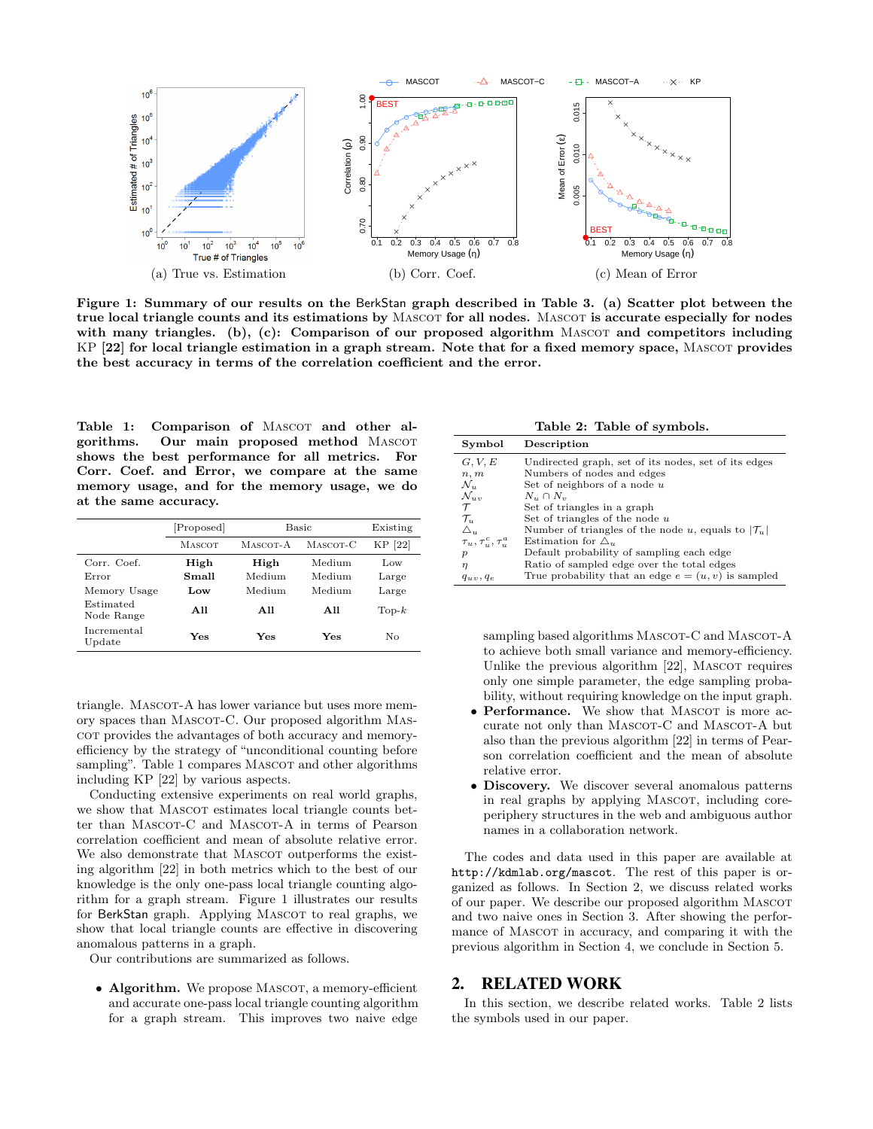

Figure 1: Summary of our results on the BerkStan graph described in Table 3. (a) Scatter plot between the true local triangle counts and its estimations by MASCOT for all nodes. MASCOT is accurate especially for nodes with many triangles. (b), (c): Comparison of our proposed algorithm  $MASCOT$  and competitors including KP [22] for local triangle estimation in a graph stream. Note that for a fixed memory space, MASCOT provides the best accuracy in terms of the correlation coefficient and the error.

Table 1: Comparison of MASCOT and other algorithms. Our main proposed method MASCOT shows the best performance for all metrics. For Corr. Coef. and Error, we compare at the same memory usage, and for the memory usage, we do at the same accuracy.

|                         | [Proposed]    |          | Basic    | Existing       |
|-------------------------|---------------|----------|----------|----------------|
|                         | <b>MASCOT</b> | MASCOT-A | MASCOT-C | KP [22]        |
| Corr. Coef.             | High          | High     | Medium   | Low            |
| Error                   | Small         | Medium   | Medium   | Large          |
| Memory Usage            | Low           | Medium   | Medium   | Large          |
| Estimated<br>Node Range | All           | All      | All      | $\text{Top-}k$ |
| Incremental<br>Update   | Yes           | Yes      | Yes      | No             |

triangle. MASCOT-A has lower variance but uses more memory spaces than Mascot-C. Our proposed algorithm Mascot provides the advantages of both accuracy and memoryefficiency by the strategy of "unconditional counting before sampling". Table 1 compares MASCOT and other algorithms including KP [22] by various aspects.

Conducting extensive experiments on real world graphs, we show that MASCOT estimates local triangle counts better than MASCOT-C and MASCOT-A in terms of Pearson correlation coefficient and mean of absolute relative error. We also demonstrate that MASCOT outperforms the existing algorithm [22] in both metrics which to the best of our knowledge is the only one-pass local triangle counting algorithm for a graph stream. Figure 1 illustrates our results for BerkStan graph. Applying MASCOT to real graphs, we show that local triangle counts are effective in discovering anomalous patterns in a graph.

Our contributions are summarized as follows.

• Algorithm. We propose MASCOT, a memory-efficient and accurate one-pass local triangle counting algorithm for a graph stream. This improves two naive edge

Table 2: Table of symbols.

| Symbol                                           | Description                                                    |
|--------------------------------------------------|----------------------------------------------------------------|
| G, V, E                                          | Undirected graph, set of its nodes, set of its edges           |
| n, m                                             | Numbers of nodes and edges                                     |
| $\mathcal{N}_u$                                  | Set of neighbors of a node $u$                                 |
| $\mathcal{N}_{uv}$                               | $N_u \cap N_v$                                                 |
| $\tau$                                           | Set of triangles in a graph                                    |
| $\mathcal{T}_u$                                  | Set of triangles of the node $u$                               |
|                                                  | Number of triangles of the node u, equals to $ \mathcal{T}_u $ |
| $\frac{\triangle_u}{\tau_u, \tau_u^c, \tau_u^a}$ | Estimation for $\Delta_u$                                      |
| $\boldsymbol{p}$                                 | Default probability of sampling each edge                      |
| $\eta$                                           | Ratio of sampled edge over the total edges                     |
| $q_{uv}$ , $q_e$                                 | True probability that an edge $e = (u, v)$ is sampled          |

sampling based algorithms MASCOT-C and MASCOT-A to achieve both small variance and memory-efficiency. Unlike the previous algorithm  $[22]$ , MASCOT requires only one simple parameter, the edge sampling probability, without requiring knowledge on the input graph.

- Performance. We show that MASCOT is more accurate not only than MASCOT-C and MASCOT-A but also than the previous algorithm [22] in terms of Pearson correlation coefficient and the mean of absolute relative error.
- Discovery. We discover several anomalous patterns in real graphs by applying MASCOT, including coreperiphery structures in the web and ambiguous author names in a collaboration network.

The codes and data used in this paper are available at http://kdmlab.org/mascot. The rest of this paper is organized as follows. In Section 2, we discuss related works of our paper. We describe our proposed algorithm MASCOT and two naive ones in Section 3. After showing the performance of MASCOT in accuracy, and comparing it with the previous algorithm in Section 4, we conclude in Section 5.

## 2. RELATED WORK

In this section, we describe related works. Table 2 lists the symbols used in our paper.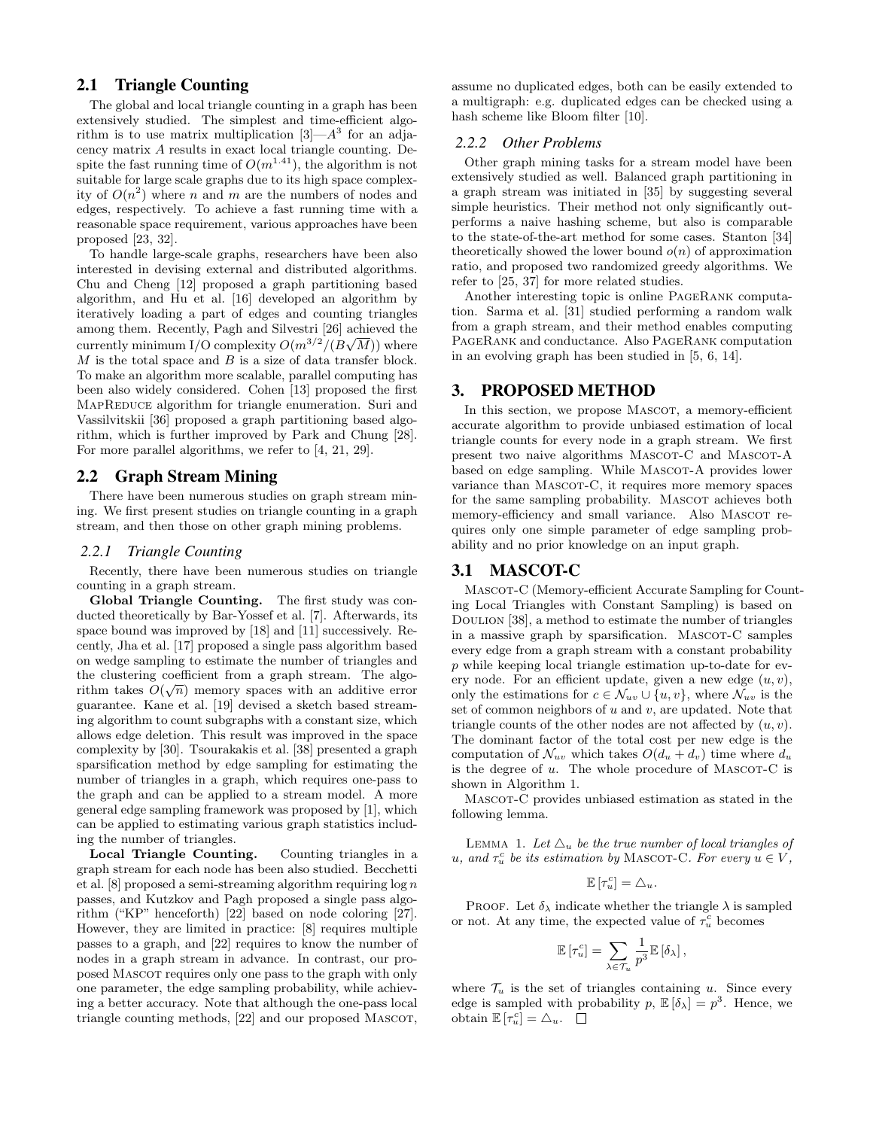# 2.1 Triangle Counting

The global and local triangle counting in a graph has been extensively studied. The simplest and time-efficient algorithm is to use matrix multiplication  $[3] - A^3$  for an adjacency matrix A results in exact local triangle counting. Despite the fast running time of  $O(m^{1.41})$ , the algorithm is not suitable for large scale graphs due to its high space complexity of  $O(n^2)$  where n and m are the numbers of nodes and edges, respectively. To achieve a fast running time with a reasonable space requirement, various approaches have been proposed [23, 32].

To handle large-scale graphs, researchers have been also interested in devising external and distributed algorithms. Chu and Cheng [12] proposed a graph partitioning based algorithm, and Hu et al. [16] developed an algorithm by iteratively loading a part of edges and counting triangles among them. Recently, Pagh and Silvestri [26] achieved the currently minimum I/O complexity  $O(m^{3/2}/(B\sqrt{M}))$  where  $M$  is the total space and  $B$  is a size of data transfer block. To make an algorithm more scalable, parallel computing has been also widely considered. Cohen [13] proposed the first MAPREDUCE algorithm for triangle enumeration. Suri and Vassilvitskii [36] proposed a graph partitioning based algorithm, which is further improved by Park and Chung [28]. For more parallel algorithms, we refer to [4, 21, 29].

## 2.2 Graph Stream Mining

There have been numerous studies on graph stream mining. We first present studies on triangle counting in a graph stream, and then those on other graph mining problems.

#### *2.2.1 Triangle Counting*

Recently, there have been numerous studies on triangle counting in a graph stream.

Global Triangle Counting. The first study was conducted theoretically by Bar-Yossef et al. [7]. Afterwards, its space bound was improved by [18] and [11] successively. Recently, Jha et al. [17] proposed a single pass algorithm based on wedge sampling to estimate the number of triangles and the clustering coefficient from a graph stream. The algorithm takes  $O(\sqrt{n})$  memory spaces with an additive error guarantee. Kane et al. [19] devised a sketch based streaming algorithm to count subgraphs with a constant size, which allows edge deletion. This result was improved in the space complexity by [30]. Tsourakakis et al. [38] presented a graph sparsification method by edge sampling for estimating the number of triangles in a graph, which requires one-pass to the graph and can be applied to a stream model. A more general edge sampling framework was proposed by [1], which can be applied to estimating various graph statistics including the number of triangles.

Local Triangle Counting. Counting triangles in a graph stream for each node has been also studied. Becchetti et al.  $[8]$  proposed a semi-streaming algorithm requiring  $\log n$ passes, and Kutzkov and Pagh proposed a single pass algorithm ("KP" henceforth) [22] based on node coloring [27]. However, they are limited in practice: [8] requires multiple passes to a graph, and [22] requires to know the number of nodes in a graph stream in advance. In contrast, our proposed Mascot requires only one pass to the graph with only one parameter, the edge sampling probability, while achieving a better accuracy. Note that although the one-pass local triangle counting methods, [22] and our proposed MASCOT,

assume no duplicated edges, both can be easily extended to a multigraph: e.g. duplicated edges can be checked using a hash scheme like Bloom filter [10].

#### *2.2.2 Other Problems*

Other graph mining tasks for a stream model have been extensively studied as well. Balanced graph partitioning in a graph stream was initiated in [35] by suggesting several simple heuristics. Their method not only significantly outperforms a naive hashing scheme, but also is comparable to the state-of-the-art method for some cases. Stanton [34] theoretically showed the lower bound  $o(n)$  of approximation ratio, and proposed two randomized greedy algorithms. We refer to [25, 37] for more related studies.

Another interesting topic is online PageRank computation. Sarma et al. [31] studied performing a random walk from a graph stream, and their method enables computing PageRank and conductance. Also PageRank computation in an evolving graph has been studied in [5, 6, 14].

# 3. PROPOSED METHOD

In this section, we propose MASCOT, a memory-efficient accurate algorithm to provide unbiased estimation of local triangle counts for every node in a graph stream. We first present two naive algorithms MASCOT-C and MASCOT-A based on edge sampling. While MASCOT-A provides lower variance than MASCOT-C, it requires more memory spaces for the same sampling probability. MASCOT achieves both memory-efficiency and small variance. Also MASCOT requires only one simple parameter of edge sampling probability and no prior knowledge on an input graph.

## 3.1 MASCOT-C

MASCOT-C (Memory-efficient Accurate Sampling for Counting Local Triangles with Constant Sampling) is based on Doulion [38], a method to estimate the number of triangles in a massive graph by sparsification. MASCOT-C samples every edge from a graph stream with a constant probability p while keeping local triangle estimation up-to-date for every node. For an efficient update, given a new edge  $(u, v)$ , only the estimations for  $c \in \mathcal{N}_{uv} \cup \{u, v\}$ , where  $\mathcal{N}_{uv}$  is the set of common neighbors of  $u$  and  $v$ , are updated. Note that triangle counts of the other nodes are not affected by  $(u, v)$ . The dominant factor of the total cost per new edge is the computation of  $\mathcal{N}_{uv}$  which takes  $O(d_u + d_v)$  time where  $d_u$ is the degree of  $u$ . The whole procedure of MASCOT-C is shown in Algorithm 1.

Mascot-C provides unbiased estimation as stated in the following lemma.

LEMMA 1. Let  $\Delta_u$  be the true number of local triangles of u, and  $\tau_u^c$  be its estimation by MASCOT-C. For every  $u \in V$ ,

$$
\mathbb{E}\left[\tau_u^c\right] = \triangle_u.
$$

PROOF. Let  $\delta_{\lambda}$  indicate whether the triangle  $\lambda$  is sampled or not. At any time, the expected value of  $\tau_u^c$  becomes

$$
\mathbb{E}\left[\tau_u^c\right] = \sum_{\lambda \in \mathcal{T}_u} \frac{1}{p^3} \mathbb{E}\left[\delta_{\lambda}\right],
$$

where  $\mathcal{T}_u$  is the set of triangles containing u. Since every edge is sampled with probability  $p$ ,  $\mathbb{E}[\delta_{\lambda}] = p^3$ . Hence, we obtain  $\mathbb{E}[\tau_u^c] = \Delta_u$ .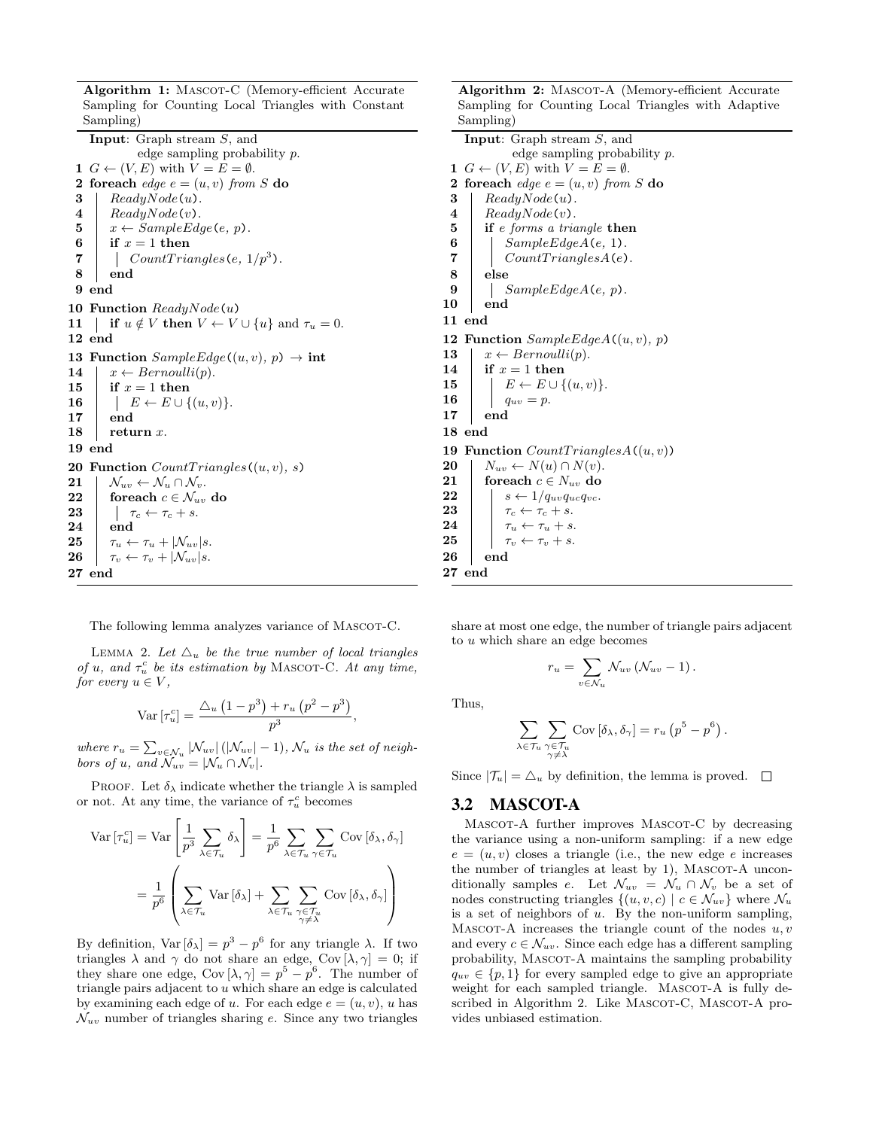Sampling for Counting Local Triangles with Constant Sampling) Input: Graph stream S, and edge sampling probability p. 1  $G \leftarrow (V, E)$  with  $V = E = \emptyset$ . 2 foreach edge  $e = (u, v)$  from S do  $3 | ReadyNode(u).$  $4 | ReadyNode(v).$ 5  $x \leftarrow SampleEdge(e, p).$ <br>6 if  $x = 1$  then  $\begin{array}{c|c} \textbf{6} & \textbf{if } x = 1 \textbf{ then} \ \textbf{7} & \textbf{Count} \, \textbf{Train} \end{array}$  $7 \mid \cdot \mid \cdot CountTriangles(e, 1/p^3).$ 8 end 9 end 10 Function  $ReadyNode(u)$ 11 | if  $u \notin V$  then  $V \leftarrow V \cup \{u\}$  and  $\tau_u = 0$ . 12 end 13 Function  $SampleEdge((u, v), p) \rightarrow int$ 14  $x \leftarrow Bernoulli(p)$ . 15 if  $x = 1$  then 16  $\vert \vert E \leftarrow E \cup \{(u, v)\}.$ 17 end 18  $\vert$  return x. 19 end 20 Function  $CountTriangles((u, v), s)$ 21  $\mathcal{N}_{uv} \leftarrow \mathcal{N}_{u} \cap \mathcal{N}_{v}$ . 22 foreach  $c \in \mathcal{N}_{uv}$  do 23  $\vert \cdot \vert \tau_c \leftarrow \tau_c + s$ . 24 end 25  $\tau_u \leftarrow \tau_u + |\mathcal{N}_{uv}|s.$ 26  $\tau_v \leftarrow \tau_v + |\mathcal{N}_{uv}|s.$ 27 end

Algorithm 1: MASCOT-C (Memory-efficient Accurate

Sampling for Counting Local Triangles with Adaptive Sampling) Input: Graph stream S, and

Algorithm 2: MASCOT-A (Memory-efficient Accurate

edge sampling probability p. 1  $G \leftarrow (V, E)$  with  $V = E = \emptyset$ . 2 foreach edge  $e = (u, v)$  from S do  $3$  ReadyNode(u).  $4 \mid ReadyNode(v).$ 5 if e forms a triangle then 6  $\bigcup_{\text{CountTrianglesA}(e, 1)}$  $Count TrianglesA(e)$ . 8 else 9 |  $SampleEdgeA(e, p)$ . 10 end 11 end 12 Function  $SampleEdgeA((u, v), p)$ 13  $x \leftarrow Bernoulli(p)$ . 14 if  $x = 1$  then 15  $\vert \quad \vert E \leftarrow E \cup \{(u, v)\}.$ **16**  $\Big| \Big| \t q_{uv} = p.$ 17 end 18 end 19 Function  $CountTriangle A((u, v))$ 20  $N_{uv} \leftarrow N(u) \cap N(v)$ . 21 foreach  $c \in N_{uv}$  do 22  $\vert$   $s \leftarrow 1/q_{uv}q_{uc}q_v$ 23  $\vert \cdot \vert \tau_c \leftarrow \tau_c + s.$ 24  $\tau_u \leftarrow \tau_u + s.$ <br>25  $\tau_v \leftarrow \tau_v + s.$  $\tau_v \leftarrow \tau_v + s.$ 26 end 27 end

The following lemma analyzes variance of MASCOT-C.

LEMMA 2. Let  $\Delta_u$  be the true number of local triangles of u, and  $\tau_u^c$  be its estimation by MASCOT-C. At any time, for every  $u \in V$ ,

$$
\operatorname{Var}\left[\tau_u^c\right] = \frac{\triangle_u\left(1 - p^3\right) + r_u\left(p^2 - p^3\right)}{p^3},
$$

where  $r_u = \sum_{v \in \mathcal{N}_u} |\mathcal{N}_{uv}| (|\mathcal{N}_{uv}| - 1)$ ,  $\mathcal{N}_u$  is the set of neighbors of u, and  $\mathcal{N}_{uv} = |\mathcal{N}_u \cap \mathcal{N}_v|$ .

PROOF. Let  $\delta_{\lambda}$  indicate whether the triangle  $\lambda$  is sampled or not. At any time, the variance of  $\tau_u^c$  becomes

$$
\operatorname{Var}\left[\tau_{u}^{c}\right] = \operatorname{Var}\left[\frac{1}{p^{3}}\sum_{\lambda \in \mathcal{T}_{u}} \delta_{\lambda}\right] = \frac{1}{p^{6}}\sum_{\lambda \in \mathcal{T}_{u}} \sum_{\gamma \in \mathcal{T}_{u}} \operatorname{Cov}\left[\delta_{\lambda}, \delta_{\gamma}\right]
$$

$$
= \frac{1}{p^{6}} \left(\sum_{\lambda \in \mathcal{T}_{u}} \operatorname{Var}\left[\delta_{\lambda}\right] + \sum_{\substack{\lambda \in \mathcal{T}_{u}} \sum_{\substack{\gamma \in \mathcal{T}_{u}} \\ \gamma \neq \lambda}} \operatorname{Cov}\left[\delta_{\lambda}, \delta_{\gamma}\right]\right)
$$

By definition,  $Var[\delta_{\lambda}] = p^3 - p^6$  for any triangle  $\lambda$ . If two triangles  $\lambda$  and  $\gamma$  do not share an edge, Cov  $[\lambda, \gamma] = 0$ ; if they share one edge,  $Cov[\lambda, \gamma] = p^5 - p^6$ . The number of triangle pairs adjacent to u which share an edge is calculated by examining each edge of u. For each edge  $e = (u, v)$ , u has  $\mathcal{N}_{uv}$  number of triangles sharing e. Since any two triangles

share at most one edge, the number of triangle pairs adjacent to u which share an edge becomes

$$
r_u = \sum_{v \in \mathcal{N}_u} \mathcal{N}_{uv} \left( \mathcal{N}_{uv} - 1 \right).
$$

Thus,

$$
\sum_{\lambda \in \mathcal{T}_u} \sum_{\substack{\gamma \in \mathcal{T}_u \\ \gamma \neq \lambda}} \text{Cov} \left[ \delta_{\lambda}, \delta_{\gamma} \right] = r_u \left( p^5 - p^6 \right).
$$

Since  $|\mathcal{T}_u| = \Delta_u$  by definition, the lemma is proved.  $\square$ 

#### 3.2 MASCOT-A

MASCOT-A further improves MASCOT-C by decreasing the variance using a non-uniform sampling: if a new edge  $e = (u, v)$  closes a triangle (i.e., the new edge e increases the number of triangles at least by  $1$ ), MASCOT-A unconditionally samples e. Let  $\mathcal{N}_{uv} = \mathcal{N}_u \cap \mathcal{N}_v$  be a set of nodes constructing triangles  $\{(u, v, c) | c \in \mathcal{N}_{uv}\}\$  where  $\mathcal{N}_{u}$ is a set of neighbors of  $u$ . By the non-uniform sampling, MASCOT-A increases the triangle count of the nodes  $u, v$ and every  $c \in \mathcal{N}_{uv}$ . Since each edge has a different sampling probability, MASCOT-A maintains the sampling probability  $q_{uv} \in \{p, 1\}$  for every sampled edge to give an appropriate weight for each sampled triangle. MASCOT-A is fully described in Algorithm 2. Like MASCOT-C, MASCOT-A provides unbiased estimation.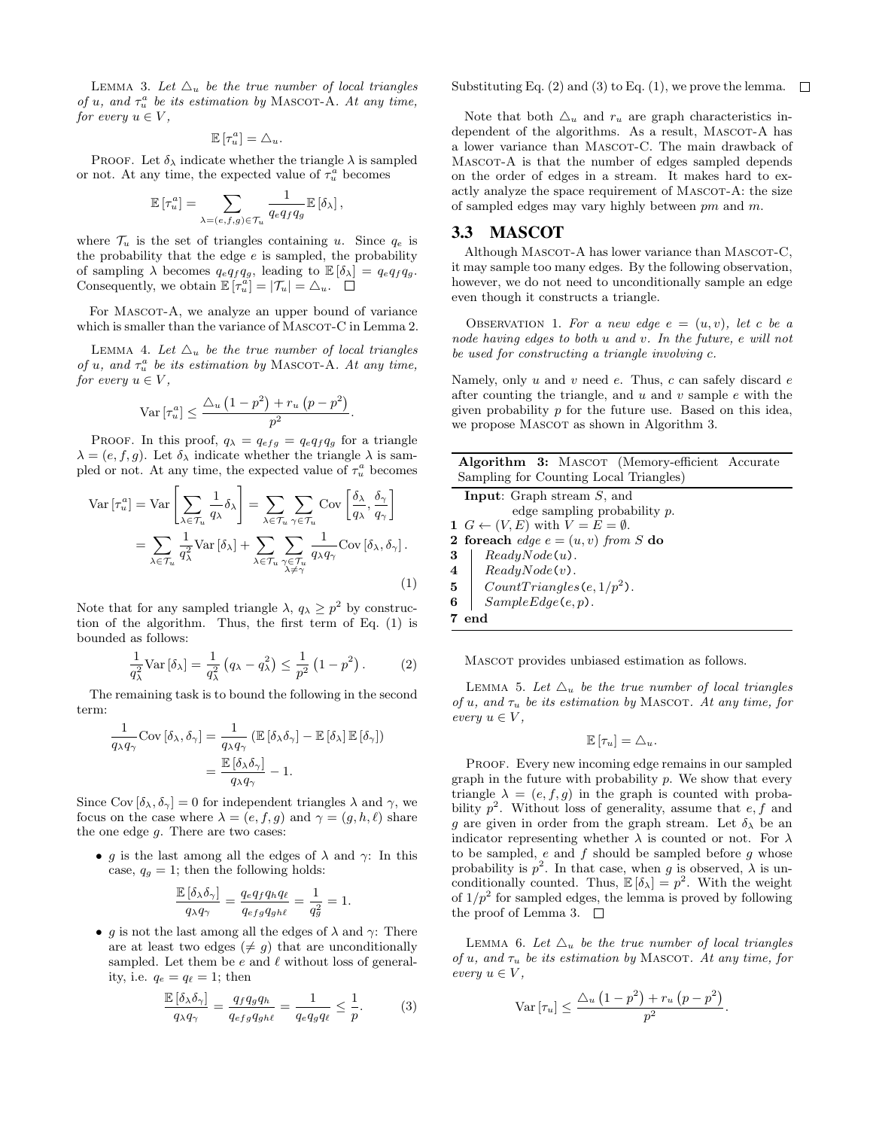LEMMA 3. Let  $\Delta_u$  be the true number of local triangles of u, and  $\tau_u^a$  be its estimation by MASCOT-A. At any time, for every  $u \in V$ ,

$$
\mathbb{E}\left[\tau_u^a\right] = \triangle_u.
$$

PROOF. Let  $\delta_{\lambda}$  indicate whether the triangle  $\lambda$  is sampled or not. At any time, the expected value of  $\tau_u^a$  becomes

$$
\mathbb{E}\left[\tau_u^a\right] = \sum_{\lambda = (e,f,g) \in \mathcal{T}_u} \frac{1}{q_e q_f q_g} \mathbb{E}\left[\delta_\lambda\right],
$$

where  $\mathcal{T}_u$  is the set of triangles containing u. Since  $q_e$  is the probability that the edge  $e$  is sampled, the probability of sampling  $\lambda$  becomes  $q_e q_f q_g$ , leading to  $\mathbb{E} [\delta_\lambda] = q_e q_f q_g$ . Consequently, we obtain  $\mathbb{E}[\tau_u^a] = |\mathcal{T}_u| = \Delta_u$ .

For MASCOT-A, we analyze an upper bound of variance which is smaller than the variance of MASCOT-C in Lemma 2.

LEMMA 4. Let  $\Delta_u$  be the true number of local triangles of u, and  $\tau_u^a$  be its estimation by MASCOT-A. At any time, for every  $u \in V$ .

$$
\operatorname{Var}\left[\tau_u^a\right] \le \frac{\triangle_u \left(1 - p^2\right) + r_u \left(p - p^2\right)}{p^2}
$$

.

PROOF. In this proof,  $q_{\lambda} = q_{efg} = q_e q_f q_g$  for a triangle  $\lambda = (e, f, g)$ . Let  $\delta_{\lambda}$  indicate whether the triangle  $\lambda$  is sampled or not. At any time, the expected value of  $\tau_u^a$  becomes

$$
\operatorname{Var}\left[\tau_u^a\right] = \operatorname{Var}\left[\sum_{\lambda \in \mathcal{T}_u} \frac{1}{q_\lambda} \delta_\lambda\right] = \sum_{\lambda \in \mathcal{T}_u} \sum_{\gamma \in \mathcal{T}_u} \operatorname{Cov}\left[\frac{\delta_\lambda}{q_\lambda}, \frac{\delta_\gamma}{q_\gamma}\right]
$$

$$
= \sum_{\lambda \in \mathcal{T}_u} \frac{1}{q_\lambda^2} \operatorname{Var}\left[\delta_\lambda\right] + \sum_{\lambda \in \mathcal{T}_u} \sum_{\substack{\gamma \in \mathcal{T}_u \\ \lambda \neq \gamma}} \frac{1}{q_\lambda q_\gamma} \operatorname{Cov}\left[\delta_\lambda, \delta_\gamma\right].
$$
(1)

Note that for any sampled triangle  $\lambda$ ,  $q_{\lambda} \geq p^2$  by construction of the algorithm. Thus, the first term of Eq. (1) is bounded as follows:

$$
\frac{1}{q_{\lambda}^2} \text{Var}\left[\delta_{\lambda}\right] = \frac{1}{q_{\lambda}^2} \left(q_{\lambda} - q_{\lambda}^2\right) \le \frac{1}{p^2} \left(1 - p^2\right). \tag{2}
$$

The remaining task is to bound the following in the second term:

$$
\frac{1}{q_{\lambda}q_{\gamma}}\text{Cov} \left[\delta_{\lambda}, \delta_{\gamma}\right] = \frac{1}{q_{\lambda}q_{\gamma}} \left(\mathbb{E}\left[\delta_{\lambda}\delta_{\gamma}\right] - \mathbb{E}\left[\delta_{\lambda}\right]\mathbb{E}\left[\delta_{\gamma}\right]\right)
$$

$$
= \frac{\mathbb{E}\left[\delta_{\lambda}\delta_{\gamma}\right]}{q_{\lambda}q_{\gamma}} - 1.
$$

Since Cov  $[\delta_{\lambda}, \delta_{\gamma}] = 0$  for independent triangles  $\lambda$  and  $\gamma$ , we focus on the case where  $\lambda = (e, f, g)$  and  $\gamma = (g, h, \ell)$  share the one edge  $g$ . There are two cases:

• g is the last among all the edges of  $\lambda$  and  $\gamma$ : In this case,  $q_g = 1$ ; then the following holds:

$$
\frac{\mathbb{E} \left[\delta_\lambda \delta_\gamma \right]}{q_\lambda q_\gamma} = \frac{q_e q_f q_h q_\ell}{q_{efg} q_{gh\ell}} = \frac{1}{q_g^2} = 1.
$$

• g is not the last among all the edges of  $\lambda$  and  $\gamma$ : There are at least two edges ( $\neq$  g) that are unconditionally sampled. Let them be  $e$  and  $\ell$  without loss of generality, i.e.  $q_e = q_\ell = 1$ ; then

$$
\frac{\mathbb{E}\left[\delta_{\lambda}\delta_{\gamma}\right]}{q_{\lambda}q_{\gamma}}=\frac{q_{f}q_{g}q_{h}}{q_{efg}q_{gh\ell}}=\frac{1}{q_{e}q_{g}q_{\ell}}\leq\frac{1}{p}.\tag{3}
$$

Substituting Eq.  $(2)$  and  $(3)$  to Eq.  $(1)$ , we prove the lemma.  $\Box$ 

Note that both  $\Delta_u$  and  $r_u$  are graph characteristics independent of the algorithms. As a result, MASCOT-A has a lower variance than MASCOT-C. The main drawback of MASCOT-A is that the number of edges sampled depends on the order of edges in a stream. It makes hard to exactly analyze the space requirement of MASCOT-A: the size of sampled edges may vary highly between pm and m.

## 3.3 MASCOT

Although MASCOT-A has lower variance than MASCOT-C, it may sample too many edges. By the following observation, however, we do not need to unconditionally sample an edge even though it constructs a triangle.

OBSERVATION 1. For a new edge  $e = (u, v)$ , let c be a node having edges to both u and v. In the future, e will not be used for constructing a triangle involving c.

Namely, only  $u$  and  $v$  need  $e$ . Thus,  $c$  can safely discard  $e$ after counting the triangle, and  $u$  and  $v$  sample  $e$  with the given probability p for the future use. Based on this idea, we propose MASCOT as shown in Algorithm 3.

| <b>Algorithm 3:</b> MASCOT (Memory-efficient Accurate       |  |
|-------------------------------------------------------------|--|
| Sampling for Counting Local Triangles)                      |  |
| <b>Input:</b> Graph stream $S$ , and                        |  |
| edge sampling probability $p$ .                             |  |
| 1 $G \leftarrow (V, E)$ with $V = E = \emptyset$ .          |  |
| 2 foreach edge $e = (u, v)$ from S do                       |  |
| $\begin{array}{c c} \mathbf{3} & ReadyNode(u). \end{array}$ |  |
|                                                             |  |

 $4 \mid ReadyNode(v).$ 

 $5$   $CountTriangles(e, 1/p^2)$ .

6  $\Big|\$  SampleEdge(e, p).

7 end

Mascot provides unbiased estimation as follows.

LEMMA 5. Let  $\Delta_u$  be the true number of local triangles of u, and  $\tau_u$  be its estimation by MASCOT. At any time, for every  $u \in V$ ,

$$
\mathbb{E}[\tau_u] = \triangle_u.
$$

PROOF. Every new incoming edge remains in our sampled graph in the future with probability  $p$ . We show that every triangle  $\lambda = (e, f, g)$  in the graph is counted with probability  $p^2$ . Without loss of generality, assume that  $e, f$  and g are given in order from the graph stream. Let  $\delta_{\lambda}$  be an indicator representing whether  $\lambda$  is counted or not. For  $\lambda$ to be sampled,  $e$  and  $f$  should be sampled before  $g$  whose probability is  $p^2$ . In that case, when g is observed,  $\lambda$  is unconditionally counted. Thus,  $\mathbb{E}[\delta_{\lambda}] = p^2$ . With the weight of  $1/p^2$  for sampled edges, the lemma is proved by following the proof of Lemma 3.  $\Box$ 

LEMMA 6. Let  $\Delta_u$  be the true number of local triangles of u, and  $\tau_u$  be its estimation by MASCOT. At any time, for every  $u \in V$ ,

$$
\operatorname{Var}\left[\tau_u\right] \le \frac{\triangle_u \left(1 - p^2\right) + r_u \left(p - p^2\right)}{p^2}
$$

.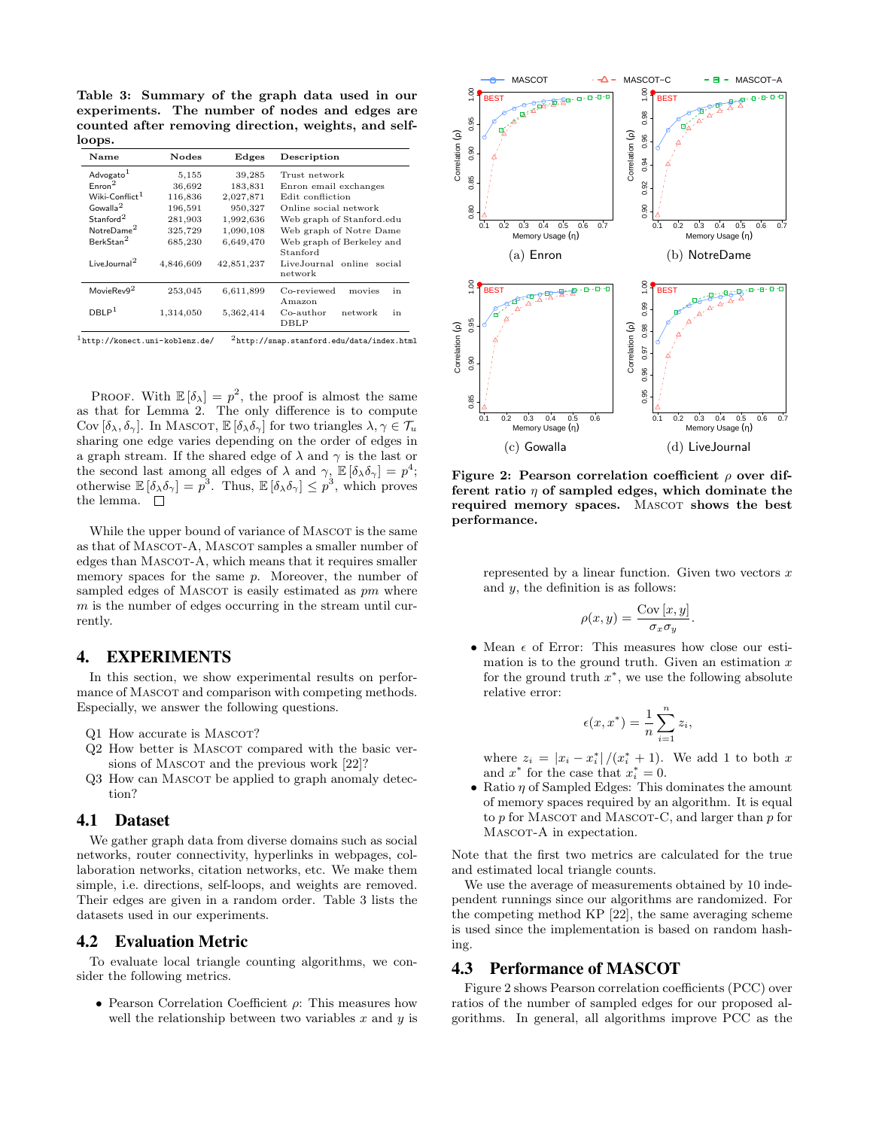Table 3: Summary of the graph data used in our experiments. The number of nodes and edges are counted after removing direction, weights, and selfloops.

| <b>Nodes</b> | Edges      | Description                                      |
|--------------|------------|--------------------------------------------------|
| 5,155        | 39,285     | Trust network                                    |
| 36,692       | 183,831    | Enron email exchanges                            |
| 116,836      | 2,027,871  | Edit confliction                                 |
| 196.591      | 950,327    | Online social network                            |
| 281,903      | 1,992,636  | Web graph of Stanford.edu                        |
| 325,729      | 1,090,108  | Web graph of Notre Dame                          |
| 685,230      | 6,649,470  | Web graph of Berkeley and                        |
| 4,846,609    | 42,851,237 | Stanford<br>LiveJournal online social<br>network |
| 253,045      | 6,611,899  | Co-reviewed<br>in<br>movies<br>Amazon            |
| 1,314,050    | 5,362,414  | $Co$ -author<br>in<br>network<br>DBLP            |
|              |            |                                                  |

PROOF. With  $\mathbb{E}[\delta_{\lambda}] = p^2$ , the proof is almost the same as that for Lemma 2. The only difference is to compute Cov  $[\delta_{\lambda}, \delta_{\gamma}]$ . In MASCOT,  $\mathbb{E} [\delta_{\lambda} \delta_{\gamma}]$  for two triangles  $\lambda, \gamma \in \mathcal{T}_u$ sharing one edge varies depending on the order of edges in a graph stream. If the shared edge of  $\lambda$  and  $\gamma$  is the last or the second last among all edges of  $\lambda$  and  $\gamma$ ,  $\mathbb{E}[\delta_\lambda \delta_\gamma] = p^4$ ; otherwise  $\mathbb{E} [\delta_{\lambda} \delta_{\gamma}] = p^3$ . Thus,  $\mathbb{E} [\delta_{\lambda} \delta_{\gamma}] \leq p^3$ , which proves the lemma.  $\square$ 

While the upper bound of variance of MASCOT is the same as that of MASCOT-A, MASCOT samples a smaller number of edges than MASCOT-A, which means that it requires smaller memory spaces for the same  $p$ . Moreover, the number of sampled edges of MASCOT is easily estimated as pm where  $m$  is the number of edges occurring in the stream until currently.

# 4. EXPERIMENTS

In this section, we show experimental results on performance of MASCOT and comparison with competing methods. Especially, we answer the following questions.

- Q1 How accurate is MASCOT?
- Q2 How better is MASCOT compared with the basic versions of MASCOT and the previous work [22]?
- Q3 How can MASCOT be applied to graph anomaly detection?

## 4.1 Dataset

We gather graph data from diverse domains such as social networks, router connectivity, hyperlinks in webpages, collaboration networks, citation networks, etc. We make them simple, i.e. directions, self-loops, and weights are removed. Their edges are given in a random order. Table 3 lists the datasets used in our experiments.

# 4.2 Evaluation Metric

To evaluate local triangle counting algorithms, we consider the following metrics.

• Pearson Correlation Coefficient  $\rho$ : This measures how well the relationship between two variables  $x$  and  $y$  is



Figure 2: Pearson correlation coefficient  $\rho$  over different ratio  $\eta$  of sampled edges, which dominate the required memory spaces. MASCOT shows the best performance.

represented by a linear function. Given two vectors  $x$ and  $y$ , the definition is as follows:

$$
\rho(x,y) = \frac{\text{Cov}[x,y]}{\sigma_x \sigma_y}.
$$

• Mean  $\epsilon$  of Error: This measures how close our estimation is to the ground truth. Given an estimation  $x$ for the ground truth  $x^*$ , we use the following absolute relative error:

$$
\epsilon(x, x^*) = \frac{1}{n} \sum_{i=1}^n z_i,
$$

where  $z_i = |x_i - x_i^*|/(x_i^* + 1)$ . We add 1 to both x and  $x^*$  for the case that  $x_i^* = 0$ .

• Ratio  $\eta$  of Sampled Edges: This dominates the amount of memory spaces required by an algorithm. It is equal to  $p$  for MASCOT and MASCOT-C, and larger than  $p$  for MASCOT-A in expectation.

Note that the first two metrics are calculated for the true and estimated local triangle counts.

We use the average of measurements obtained by 10 independent runnings since our algorithms are randomized. For the competing method KP [22], the same averaging scheme is used since the implementation is based on random hashing.

# 4.3 Performance of MASCOT

Figure 2 shows Pearson correlation coefficients (PCC) over ratios of the number of sampled edges for our proposed algorithms. In general, all algorithms improve PCC as the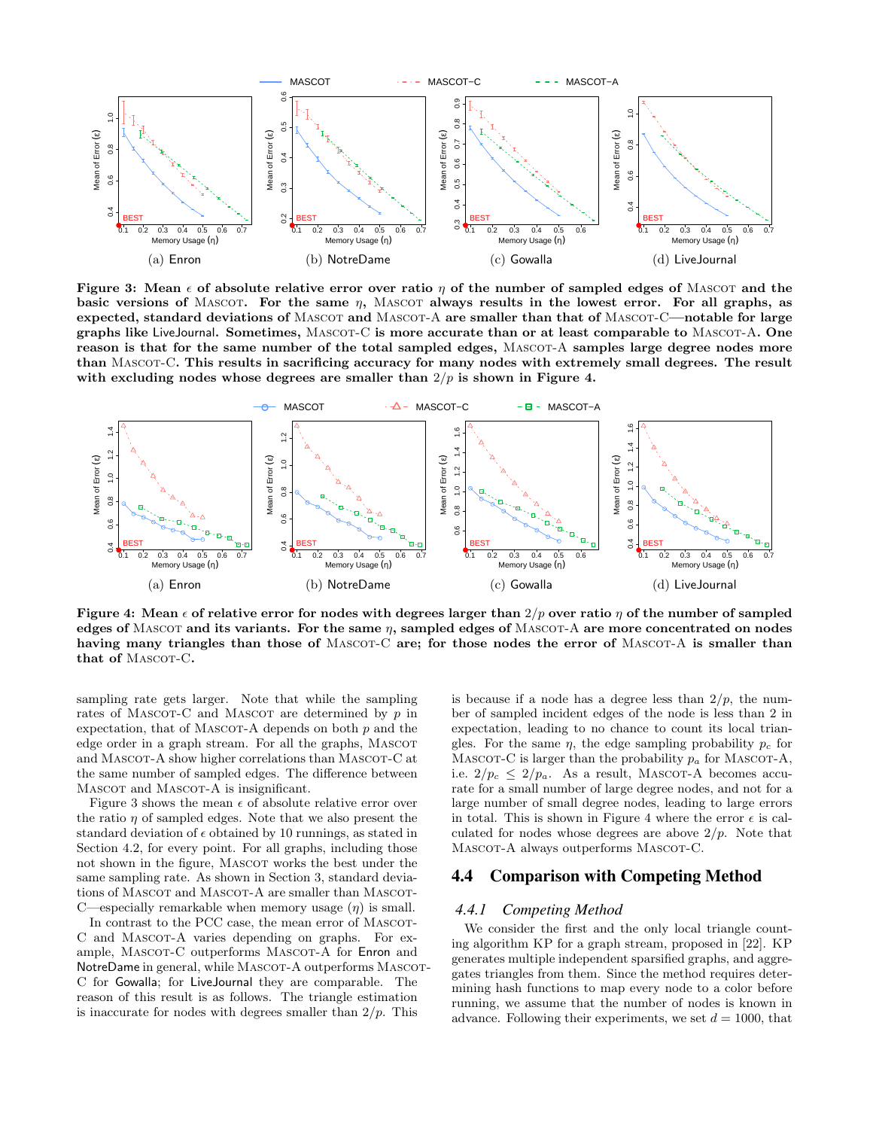

Figure 3: Mean  $\epsilon$  of absolute relative error over ratio  $\eta$  of the number of sampled edges of MASCOT and the basic versions of MASCOT. For the same  $\eta$ , MASCOT always results in the lowest error. For all graphs, as expected, standard deviations of MASCOT and MASCOT-A are smaller than that of MASCOT-C—notable for large graphs like LiveJournal. Sometimes, MASCOT-C is more accurate than or at least comparable to MASCOT-A. One reason is that for the same number of the total sampled edges, MASCOT-A samples large degree nodes more than MASCOT-C. This results in sacrificing accuracy for many nodes with extremely small degrees. The result with excluding nodes whose degrees are smaller than  $2/p$  is shown in Figure 4.



Figure 4: Mean  $\epsilon$  of relative error for nodes with degrees larger than  $2/p$  over ratio  $\eta$  of the number of sampled edges of MASCOT and its variants. For the same  $\eta$ , sampled edges of MASCOT-A are more concentrated on nodes having many triangles than those of MASCOT-C are; for those nodes the error of MASCOT-A is smaller than that of MASCOT-C.

sampling rate gets larger. Note that while the sampling rates of MASCOT-C and MASCOT are determined by  $p$  in expectation, that of MASCOT-A depends on both  $p$  and the edge order in a graph stream. For all the graphs, MASCOT and MASCOT-A show higher correlations than MASCOT-C at the same number of sampled edges. The difference between MASCOT and MASCOT-A is insignificant.

Figure 3 shows the mean  $\epsilon$  of absolute relative error over the ratio  $\eta$  of sampled edges. Note that we also present the standard deviation of  $\epsilon$  obtained by 10 runnings, as stated in Section 4.2, for every point. For all graphs, including those not shown in the figure, MASCOT works the best under the same sampling rate. As shown in Section 3, standard deviations of MASCOT and MASCOT-A are smaller than MASCOT-C—especially remarkable when memory usage  $(\eta)$  is small.

In contrast to the PCC case, the mean error of MASCOT-C and MASCOT-A varies depending on graphs. For example, MASCOT-C outperforms MASCOT-A for Enron and NotreDame in general, while MASCOT-A outperforms MASCOT-C for Gowalla; for LiveJournal they are comparable. The reason of this result is as follows. The triangle estimation is inaccurate for nodes with degrees smaller than  $2/p$ . This

is because if a node has a degree less than  $2/p$ , the number of sampled incident edges of the node is less than 2 in expectation, leading to no chance to count its local triangles. For the same  $\eta$ , the edge sampling probability  $p_c$  for MASCOT-C is larger than the probability  $p_a$  for MASCOT-A, i.e.  $2/p_c \leq 2/p_a$ . As a result, MASCOT-A becomes accurate for a small number of large degree nodes, and not for a large number of small degree nodes, leading to large errors in total. This is shown in Figure 4 where the error  $\epsilon$  is calculated for nodes whose degrees are above  $2/p$ . Note that MASCOT-A always outperforms MASCOT-C.

# 4.4 Comparison with Competing Method

#### *4.4.1 Competing Method*

We consider the first and the only local triangle counting algorithm KP for a graph stream, proposed in [22]. KP generates multiple independent sparsified graphs, and aggregates triangles from them. Since the method requires determining hash functions to map every node to a color before running, we assume that the number of nodes is known in advance. Following their experiments, we set  $d = 1000$ , that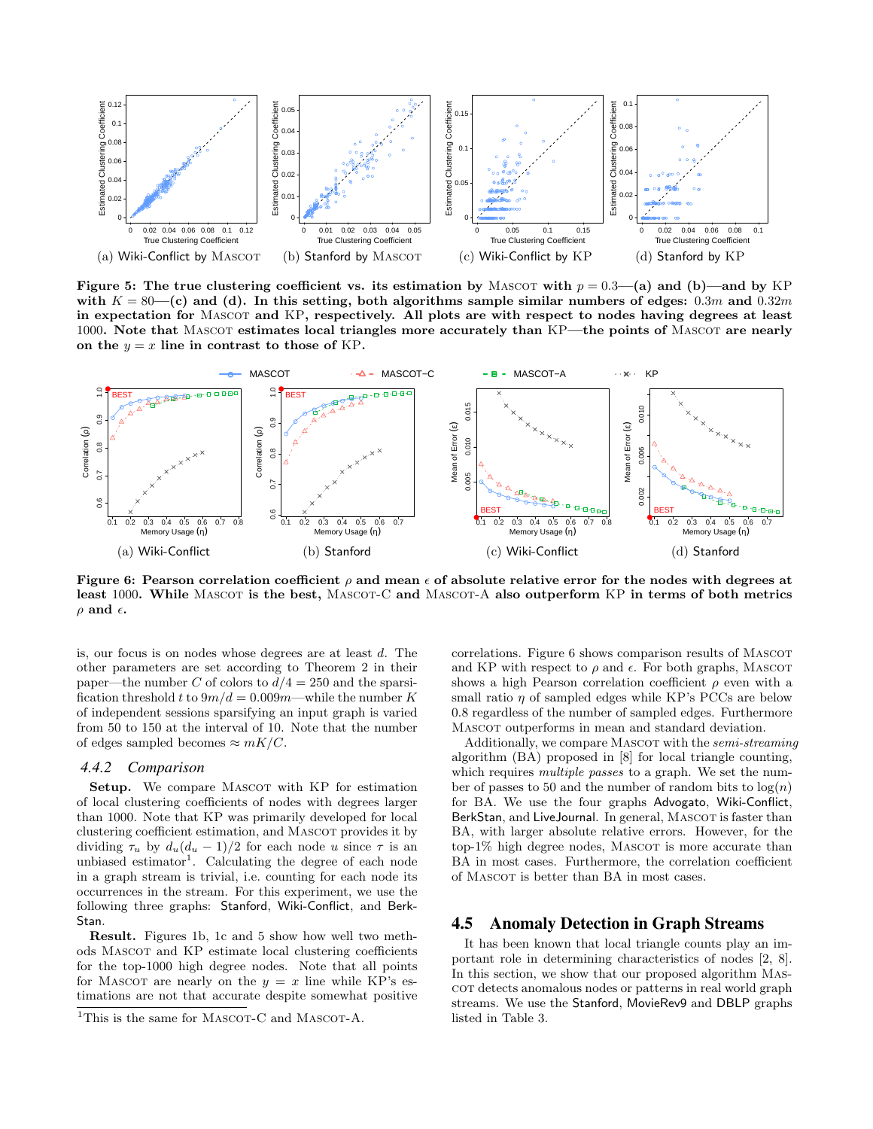

Figure 5: The true clustering coefficient vs. its estimation by MASCOT with  $p = 0.3$ —(a) and (b)—and by KP with  $K = 80$ —(c) and (d). In this setting, both algorithms sample similar numbers of edges: 0.3m and 0.32m in expectation for Mascot and KP, respectively. All plots are with respect to nodes having degrees at least 1000. Note that MASCOT estimates local triangles more accurately than KP—the points of MASCOT are nearly on the  $y = x$  line in contrast to those of KP.



Figure 6: Pearson correlation coefficient  $\rho$  and mean  $\epsilon$  of absolute relative error for the nodes with degrees at least 1000. While MASCOT is the best, MASCOT-C and MASCOT-A also outperform KP in terms of both metrics  $\rho$  and  $\epsilon$ .

is, our focus is on nodes whose degrees are at least d. The other parameters are set according to Theorem 2 in their paper—the number C of colors to  $d/4 = 250$  and the sparsification threshold t to  $9m/d = 0.009m$ —while the number K of independent sessions sparsifying an input graph is varied from 50 to 150 at the interval of 10. Note that the number of edges sampled becomes  $\approx mK/C$ .

#### *4.4.2 Comparison*

Setup. We compare MASCOT with KP for estimation of local clustering coefficients of nodes with degrees larger than 1000. Note that KP was primarily developed for local clustering coefficient estimation, and MASCOT provides it by dividing  $\tau_u$  by  $d_u(d_u - 1)/2$  for each node u since  $\tau$  is an unbiased estimator<sup>1</sup>. Calculating the degree of each node in a graph stream is trivial, i.e. counting for each node its occurrences in the stream. For this experiment, we use the following three graphs: Stanford, Wiki-Conflict, and Berk-Stan.

Result. Figures 1b, 1c and 5 show how well two methods Mascot and KP estimate local clustering coefficients for the top-1000 high degree nodes. Note that all points for MASCOT are nearly on the  $y = x$  line while KP's estimations are not that accurate despite somewhat positive correlations. Figure 6 shows comparison results of MASCOT and KP with respect to  $\rho$  and  $\epsilon$ . For both graphs, MASCOT shows a high Pearson correlation coefficient  $\rho$  even with a small ratio  $\eta$  of sampled edges while KP's PCCs are below 0.8 regardless of the number of sampled edges. Furthermore Mascot outperforms in mean and standard deviation.

Additionally, we compare MASCOT with the *semi-streaming* algorithm (BA) proposed in [8] for local triangle counting, which requires *multiple passes* to a graph. We set the number of passes to 50 and the number of random bits to  $\log(n)$ for BA. We use the four graphs Advogato, Wiki-Conflict, BerkStan, and LiveJournal. In general, MASCOT is faster than BA, with larger absolute relative errors. However, for the  $top-1\%$  high degree nodes, MASCOT is more accurate than BA in most cases. Furthermore, the correlation coefficient of Mascot is better than BA in most cases.

## 4.5 Anomaly Detection in Graph Streams

It has been known that local triangle counts play an important role in determining characteristics of nodes [2, 8]. In this section, we show that our proposed algorithm Mascor detects anomalous nodes or patterns in real world graph streams. We use the Stanford, MovieRev9 and DBLP graphs listed in Table 3.

<sup>&</sup>lt;sup>1</sup>This is the same for MASCOT-C and MASCOT-A.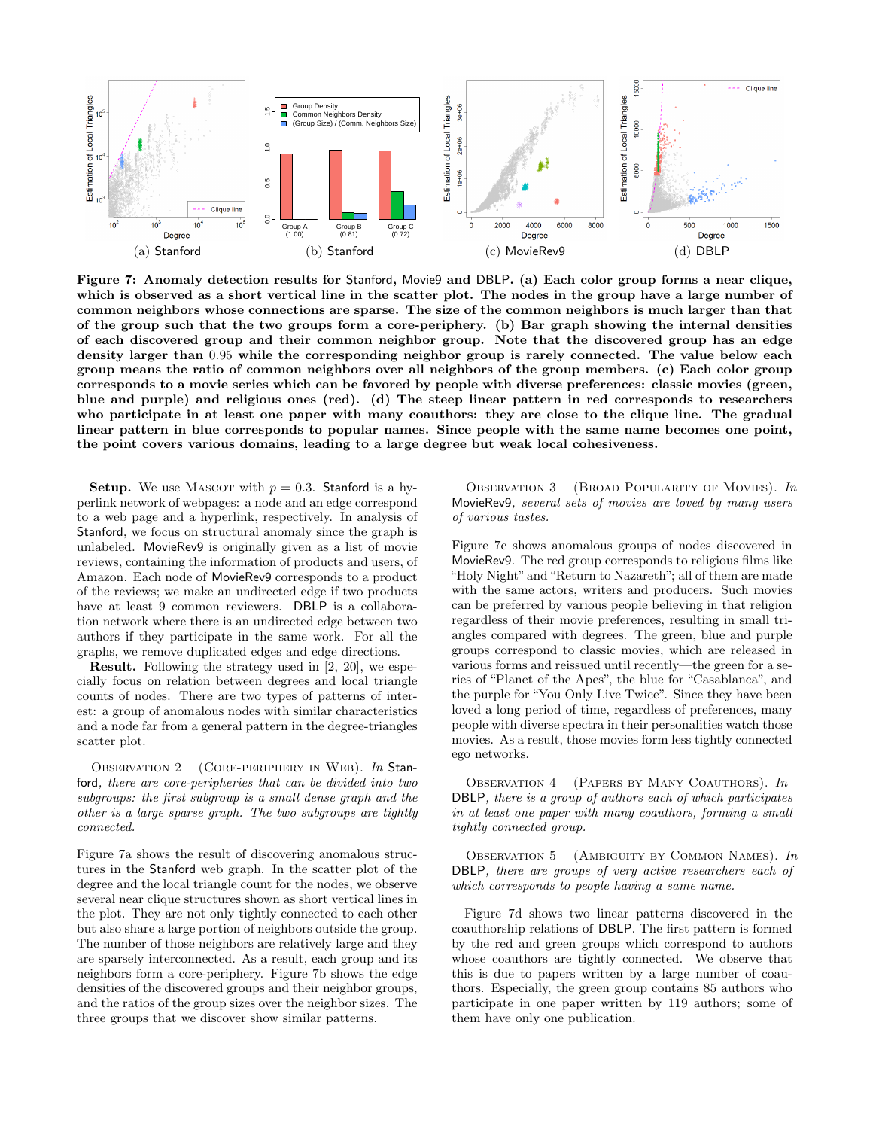

Figure 7: Anomaly detection results for Stanford, Movie9 and DBLP. (a) Each color group forms a near clique, which is observed as a short vertical line in the scatter plot. The nodes in the group have a large number of common neighbors whose connections are sparse. The size of the common neighbors is much larger than that of the group such that the two groups form a core-periphery. (b) Bar graph showing the internal densities of each discovered group and their common neighbor group. Note that the discovered group has an edge density larger than 0.95 while the corresponding neighbor group is rarely connected. The value below each group means the ratio of common neighbors over all neighbors of the group members. (c) Each color group corresponds to a movie series which can be favored by people with diverse preferences: classic movies (green, blue and purple) and religious ones (red). (d) The steep linear pattern in red corresponds to researchers who participate in at least one paper with many coauthors: they are close to the clique line. The gradual linear pattern in blue corresponds to popular names. Since people with the same name becomes one point, the point covers various domains, leading to a large degree but weak local cohesiveness.

**Setup.** We use MASCOT with  $p = 0.3$ . Stanford is a hyperlink network of webpages: a node and an edge correspond to a web page and a hyperlink, respectively. In analysis of Stanford, we focus on structural anomaly since the graph is unlabeled. MovieRev9 is originally given as a list of movie reviews, containing the information of products and users, of Amazon. Each node of MovieRev9 corresponds to a product of the reviews; we make an undirected edge if two products have at least 9 common reviewers. DBLP is a collaboration network where there is an undirected edge between two authors if they participate in the same work. For all the graphs, we remove duplicated edges and edge directions.

Result. Following the strategy used in [2, 20], we especially focus on relation between degrees and local triangle counts of nodes. There are two types of patterns of interest: a group of anomalous nodes with similar characteristics and a node far from a general pattern in the degree-triangles scatter plot.

OBSERVATION 2 (CORE-PERIPHERY IN WEB). In Stanford, there are core-peripheries that can be divided into two subgroups: the first subgroup is a small dense graph and the other is a large sparse graph. The two subgroups are tightly connected.

Figure 7a shows the result of discovering anomalous structures in the Stanford web graph. In the scatter plot of the degree and the local triangle count for the nodes, we observe several near clique structures shown as short vertical lines in the plot. They are not only tightly connected to each other but also share a large portion of neighbors outside the group. The number of those neighbors are relatively large and they are sparsely interconnected. As a result, each group and its neighbors form a core-periphery. Figure 7b shows the edge densities of the discovered groups and their neighbor groups, and the ratios of the group sizes over the neighbor sizes. The three groups that we discover show similar patterns.

OBSERVATION 3 (BROAD POPULARITY OF MOVIES). In MovieRev9, several sets of movies are loved by many users of various tastes.

Figure 7c shows anomalous groups of nodes discovered in MovieRev9. The red group corresponds to religious films like "Holy Night" and "Return to Nazareth"; all of them are made with the same actors, writers and producers. Such movies can be preferred by various people believing in that religion regardless of their movie preferences, resulting in small triangles compared with degrees. The green, blue and purple groups correspond to classic movies, which are released in various forms and reissued until recently—the green for a series of "Planet of the Apes", the blue for "Casablanca", and the purple for "You Only Live Twice". Since they have been loved a long period of time, regardless of preferences, many people with diverse spectra in their personalities watch those movies. As a result, those movies form less tightly connected ego networks.

Observation 4 (Papers by Many Coauthors). In DBLP, there is a group of authors each of which participates in at least one paper with many coauthors, forming a small tightly connected group.

Observation 5 (Ambiguity by Common Names). In DBLP, there are groups of very active researchers each of which corresponds to people having a same name.

Figure 7d shows two linear patterns discovered in the coauthorship relations of DBLP. The first pattern is formed by the red and green groups which correspond to authors whose coauthors are tightly connected. We observe that this is due to papers written by a large number of coauthors. Especially, the green group contains 85 authors who participate in one paper written by 119 authors; some of them have only one publication.